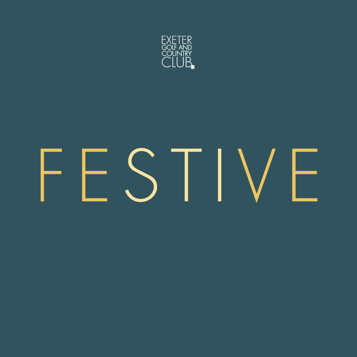

# FFSTIVF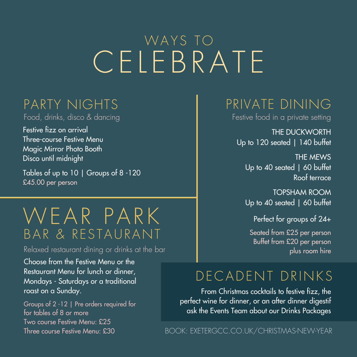# CELEBRATE WAYS TO

#### PARTY NIGHTS

Food, drinks, disco & dancing

Festive fizz on arrival Three-course Festive Menu Magic Mirror Photo Booth Disco until midnight

Tables of up to 10 | Groups of 8 -120 £45.00 per person

# WEAR PARK BAR & RESTAURANT

Relaxed restaurant dining or drinks at the bar

Choose from the Festive Menu or the Restaurant Menu for lunch or dinner, Mondays - Saturdays or a traditional roast on a Sunday.

Groups of 2 -12 | Pre orders required for for tables of 8 or more Two course Festive Menu: £25 Three course Festive Menu: £30

## PRIVATE DINING

Festive food in a private setting

THE DUCKWORTH Up to 120 seated | 140 buffet

THE MEWS Up to 40 seated | 60 buffet Roof terrace

TOPSHAM ROOM Up to 40 seated | 60 buffet

Perfect for groups of 24+

Seated from £25 per person Buffet from £20 per person plus room hire

#### DE CADENT DRINKS

From Christmas cocktails to festive fizz, the perfect wine for dinner, or an after dinner digestif ask the Events Team about our Drinks Packages

BOOK: EXETERGCC.CO.UK/CHRISTMAS-NEW-YEAR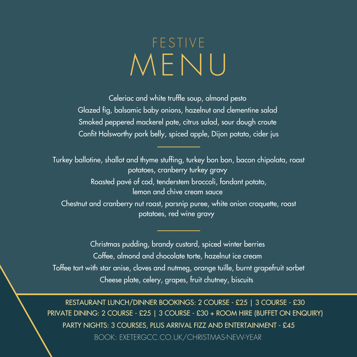# ME N U **FESTIVE**

Celeriac and white truffle soup, almond pesto Glazed fig, balsamic baby onions, hazelnut and clementine salad Smoked peppered mackerel pate, citrus salad, sour dough croute Confit Holsworthy pork belly, spiced apple, Dijon potato, cider jus

Turkey ballotine, shallot and thyme stuffing, turkey bon bon, bacon chipolata, roast potatoes, cranberry turkey gravy Roasted pavé of cod, tenderstem broccoli, fondant potato, lemon and chive cream sauce Chestnut and cranberry nut roast, parsnip puree, white onion croquette, roast

potatoes, red wine gravy

Christmas pudding, brandy custard, spiced winter berries Coffee, almond and chocolate torte, hazelnut ice cream Toffee tart with star anise, cloves and nutmeg, orange tuille, burnt grapefruit sorbet Cheese plate, celery, grapes, fruit chutney, biscuits

RESTAURANT LUNCH/DINNER BOOKINGS: 2 COURSE - £25 | 3 COURSE - £30 PRIVATE DINING: 2 COURSE - £25 | 3 COURSE - £30 + ROOM HIRE (BUFFET ON ENQUIRY) PARTY NIGHTS: 3 COURSES, PLUS ARRIVAL FIZZ AND ENTERTAINMENT - £45 BOOK: EXETERGCC.CO.UK/CHRISTMAS-NEW-YEAR